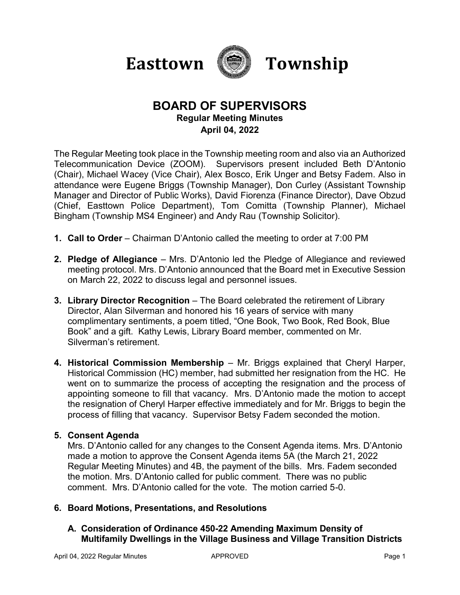



# **BOARD OF SUPERVISORS Regular Meeting Minutes April 04, 2022**

The Regular Meeting took place in the Township meeting room and also via an Authorized Telecommunication Device (ZOOM). Supervisors present included Beth D'Antonio (Chair), Michael Wacey (Vice Chair), Alex Bosco, Erik Unger and Betsy Fadem. Also in attendance were Eugene Briggs (Township Manager), Don Curley (Assistant Township Manager and Director of Public Works), David Fiorenza (Finance Director), Dave Obzud (Chief, Easttown Police Department), Tom Comitta (Township Planner), Michael Bingham (Township MS4 Engineer) and Andy Rau (Township Solicitor).

- **1. Call to Order**  Chairman D'Antonio called the meeting to order at 7:00 PM
- **2. Pledge of Allegiance** Mrs. D'Antonio led the Pledge of Allegiance and reviewed meeting protocol. Mrs. D'Antonio announced that the Board met in Executive Session on March 22, 2022 to discuss legal and personnel issues.
- **3. Library Director Recognition** The Board celebrated the retirement of Library Director, Alan Silverman and honored his 16 years of service with many complimentary sentiments, a poem titled, "One Book, Two Book, Red Book, Blue Book" and a gift. Kathy Lewis, Library Board member, commented on Mr. Silverman's retirement.
- **4. Historical Commission Membership**  Mr. Briggs explained that Cheryl Harper, Historical Commission (HC) member, had submitted her resignation from the HC. He went on to summarize the process of accepting the resignation and the process of appointing someone to fill that vacancy. Mrs. D'Antonio made the motion to accept the resignation of Cheryl Harper effective immediately and for Mr. Briggs to begin the process of filling that vacancy. Supervisor Betsy Fadem seconded the motion.

### **5. Consent Agenda**

Mrs. D'Antonio called for any changes to the Consent Agenda items. Mrs. D'Antonio made a motion to approve the Consent Agenda items 5A (the March 21, 2022 Regular Meeting Minutes) and 4B, the payment of the bills. Mrs. Fadem seconded the motion. Mrs. D'Antonio called for public comment. There was no public comment. Mrs. D'Antonio called for the vote. The motion carried 5-0.

### **6. Board Motions, Presentations, and Resolutions**

# **A. Consideration of Ordinance 450-22 Amending Maximum Density of Multifamily Dwellings in the Village Business and Village Transition Districts**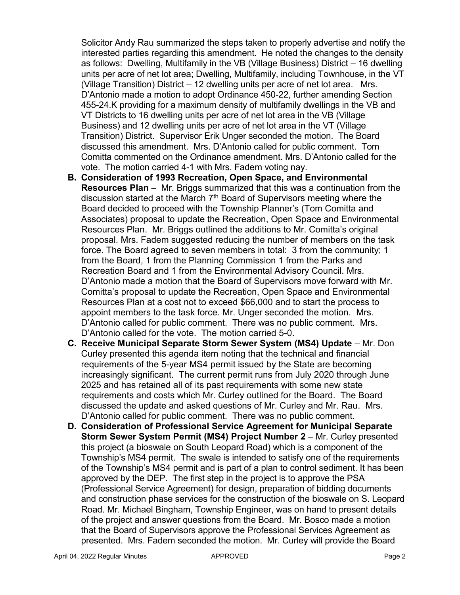Solicitor Andy Rau summarized the steps taken to properly advertise and notify the interested parties regarding this amendment. He noted the changes to the density as follows: Dwelling, Multifamily in the VB (Village Business) District – 16 dwelling units per acre of net lot area; Dwelling, Multifamily, including Townhouse, in the VT (Village Transition) District – 12 dwelling units per acre of net lot area. Mrs. D'Antonio made a motion to adopt Ordinance 450-22, further amending Section 455-24.K providing for a maximum density of multifamily dwellings in the VB and VT Districts to 16 dwelling units per acre of net lot area in the VB (Village Business) and 12 dwelling units per acre of net lot area in the VT (Village Transition) District. Supervisor Erik Unger seconded the motion. The Board discussed this amendment. Mrs. D'Antonio called for public comment. Tom Comitta commented on the Ordinance amendment. Mrs. D'Antonio called for the vote. The motion carried 4-1 with Mrs. Fadem voting nay.

- **B. Consideration of 1993 Recreation, Open Space, and Environmental Resources Plan** – Mr. Briggs summarized that this was a continuation from the discussion started at the March 7<sup>th</sup> Board of Supervisors meeting where the Board decided to proceed with the Township Planner's (Tom Comitta and Associates) proposal to update the Recreation, Open Space and Environmental Resources Plan. Mr. Briggs outlined the additions to Mr. Comitta's original proposal. Mrs. Fadem suggested reducing the number of members on the task force. The Board agreed to seven members in total: 3 from the community; 1 from the Board, 1 from the Planning Commission 1 from the Parks and Recreation Board and 1 from the Environmental Advisory Council. Mrs. D'Antonio made a motion that the Board of Supervisors move forward with Mr. Comitta's proposal to update the Recreation, Open Space and Environmental Resources Plan at a cost not to exceed \$66,000 and to start the process to appoint members to the task force. Mr. Unger seconded the motion. Mrs. D'Antonio called for public comment. There was no public comment. Mrs. D'Antonio called for the vote. The motion carried 5-0.
- **C. Receive Municipal Separate Storm Sewer System (MS4) Update** Mr. Don Curley presented this agenda item noting that the technical and financial requirements of the 5-year MS4 permit issued by the State are becoming increasingly significant. The current permit runs from July 2020 through June 2025 and has retained all of its past requirements with some new state requirements and costs which Mr. Curley outlined for the Board. The Board discussed the update and asked questions of Mr. Curley and Mr. Rau. Mrs. D'Antonio called for public comment. There was no public comment.
- **D. Consideration of Professional Service Agreement for Municipal Separate Storm Sewer System Permit (MS4) Project Number 2** – Mr. Curley presented this project (a bioswale on South Leopard Road) which is a component of the Township's MS4 permit. The swale is intended to satisfy one of the requirements of the Township's MS4 permit and is part of a plan to control sediment. It has been approved by the DEP. The first step in the project is to approve the PSA (Professional Service Agreement) for design, preparation of bidding documents and construction phase services for the construction of the bioswale on S. Leopard Road. Mr. Michael Bingham, Township Engineer, was on hand to present details of the project and answer questions from the Board. Mr. Bosco made a motion that the Board of Supervisors approve the Professional Services Agreement as presented. Mrs. Fadem seconded the motion. Mr. Curley will provide the Board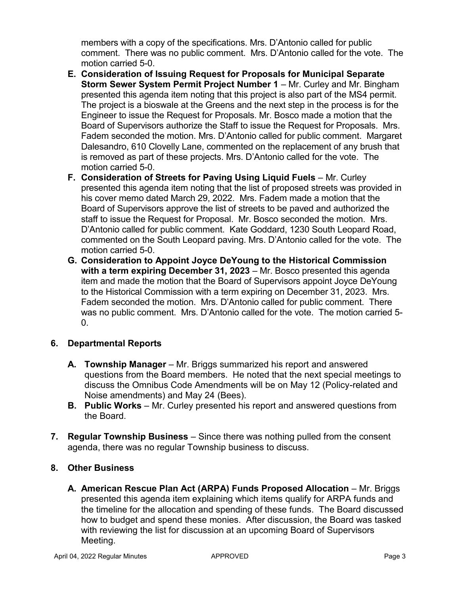members with a copy of the specifications. Mrs. D'Antonio called for public comment. There was no public comment. Mrs. D'Antonio called for the vote. The motion carried 5-0.

- **E. Consideration of Issuing Request for Proposals for Municipal Separate Storm Sewer System Permit Project Number 1 – Mr. Curley and Mr. Bingham** presented this agenda item noting that this project is also part of the MS4 permit. The project is a bioswale at the Greens and the next step in the process is for the Engineer to issue the Request for Proposals. Mr. Bosco made a motion that the Board of Supervisors authorize the Staff to issue the Request for Proposals. Mrs. Fadem seconded the motion. Mrs. D'Antonio called for public comment. Margaret Dalesandro, 610 Clovelly Lane, commented on the replacement of any brush that is removed as part of these projects. Mrs. D'Antonio called for the vote. The motion carried 5-0.
- **F.** Consideration of Streets for Paving Using Liquid Fuels Mr. Curley presented this agenda item noting that the list of proposed streets was provided in his cover memo dated March 29, 2022. Mrs. Fadem made a motion that the Board of Supervisors approve the list of streets to be paved and authorized the staff to issue the Request for Proposal. Mr. Bosco seconded the motion. Mrs. D'Antonio called for public comment. Kate Goddard, 1230 South Leopard Road, commented on the South Leopard paving. Mrs. D'Antonio called for the vote. The motion carried 5-0.
- **G. Consideration to Appoint Joyce DeYoung to the Historical Commission with a term expiring December 31, 2023** – Mr. Bosco presented this agenda item and made the motion that the Board of Supervisors appoint Joyce DeYoung to the Historical Commission with a term expiring on December 31, 2023. Mrs. Fadem seconded the motion. Mrs. D'Antonio called for public comment. There was no public comment. Mrs. D'Antonio called for the vote. The motion carried 5-  $0<sub>l</sub>$

### **6. Departmental Reports**

- **A. Township Manager** Mr. Briggs summarized his report and answered questions from the Board members. He noted that the next special meetings to discuss the Omnibus Code Amendments will be on May 12 (Policy-related and Noise amendments) and May 24 (Bees).
- **B. Public Works** Mr. Curley presented his report and answered questions from the Board.
- **7. Regular Township Business** Since there was nothing pulled from the consent agenda, there was no regular Township business to discuss.

### **8. Other Business**

**A. American Rescue Plan Act (ARPA) Funds Proposed Allocation – Mr. Briggs** presented this agenda item explaining which items qualify for ARPA funds and the timeline for the allocation and spending of these funds. The Board discussed how to budget and spend these monies. After discussion, the Board was tasked with reviewing the list for discussion at an upcoming Board of Supervisors Meeting.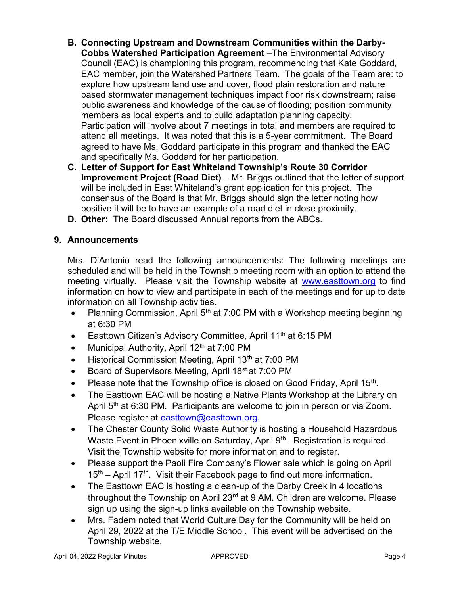- **B. Connecting Upstream and Downstream Communities within the Darby-Cobbs Watershed Participation Agreement** –The Environmental Advisory Council (EAC) is championing this program, recommending that Kate Goddard, EAC member, join the Watershed Partners Team. The goals of the Team are: to explore how upstream land use and cover, flood plain restoration and nature based stormwater management techniques impact floor risk downstream; raise public awareness and knowledge of the cause of flooding; position community members as local experts and to build adaptation planning capacity. Participation will involve about 7 meetings in total and members are required to attend all meetings. It was noted that this is a 5-year commitment. The Board agreed to have Ms. Goddard participate in this program and thanked the EAC and specifically Ms. Goddard for her participation.
- **C. Letter of Support for East Whiteland Township's Route 30 Corridor Improvement Project (Road Diet)** – Mr. Briggs outlined that the letter of support will be included in East Whiteland's grant application for this project. The consensus of the Board is that Mr. Briggs should sign the letter noting how positive it will be to have an example of a road diet in close proximity.
- **D. Other:** The Board discussed Annual reports from the ABCs.

# **9. Announcements**

Mrs. D'Antonio read the following announcements: The following meetings are scheduled and will be held in the Township meeting room with an option to attend the meeting virtually. Please visit the Township website at [www.easttown.org](http://www.easttown.org/) to find information on how to view and participate in each of the meetings and for up to date information on all Township activities.

- Planning Commission, April  $5<sup>th</sup>$  at 7:00 PM with a Workshop meeting beginning at 6:30 PM
- Easttown Citizen's Advisory Committee, April 11<sup>th</sup> at 6:15 PM
- Municipal Authority, April  $12<sup>th</sup>$  at 7:00 PM
- Historical Commission Meeting, April 13<sup>th</sup> at 7:00 PM
- Board of Supervisors Meeting, April 18<sup>st</sup> at 7:00 PM
- Please note that the Township office is closed on Good Friday, April 15<sup>th</sup>.
- The Easttown EAC will be hosting a Native Plants Workshop at the Library on April 5<sup>th</sup> at 6:30 PM. Participants are welcome to join in person or via Zoom. Please register at [easttown@easttown.org.](mailto:easttown@easttown.org)
- The Chester County Solid Waste Authority is hosting a Household Hazardous Waste Event in Phoenixville on Saturday, April 9<sup>th</sup>. Registration is required. Visit the Township website for more information and to register.
- Please support the Paoli Fire Company's Flower sale which is going on April  $15<sup>th</sup>$  – April 17<sup>th</sup>. Visit their Facebook page to find out more information.
- The Easttown EAC is hosting a clean-up of the Darby Creek in 4 locations throughout the Township on April 23<sup>rd</sup> at 9 AM. Children are welcome. Please sign up using the sign-up links available on the Township website.
- Mrs. Fadem noted that World Culture Day for the Community will be held on April 29, 2022 at the T/E Middle School. This event will be advertised on the Township website.